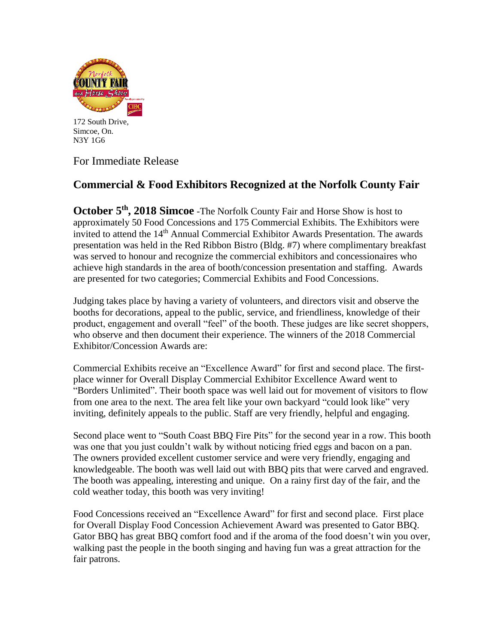

172 South Drive, Simcoe, On. N3Y 1G6

For Immediate Release

## **Commercial & Food Exhibitors Recognized at the Norfolk County Fair**

October 5<sup>th</sup>, 2018 Simcoe -The Norfolk County Fair and Horse Show is host to approximately 50 Food Concessions and 175 Commercial Exhibits. The Exhibitors were invited to attend the 14<sup>th</sup> Annual Commercial Exhibitor Awards Presentation. The awards presentation was held in the Red Ribbon Bistro (Bldg. #7) where complimentary breakfast was served to honour and recognize the commercial exhibitors and concessionaires who achieve high standards in the area of booth/concession presentation and staffing. Awards are presented for two categories; Commercial Exhibits and Food Concessions.

Judging takes place by having a variety of volunteers, and directors visit and observe the booths for decorations, appeal to the public, service, and friendliness, knowledge of their product, engagement and overall "feel" of the booth. These judges are like secret shoppers, who observe and then document their experience. The winners of the 2018 Commercial Exhibitor/Concession Awards are:

Commercial Exhibits receive an "Excellence Award" for first and second place. The firstplace winner for Overall Display Commercial Exhibitor Excellence Award went to "Borders Unlimited". Their booth space was well laid out for movement of visitors to flow from one area to the next. The area felt like your own backyard "could look like" very inviting, definitely appeals to the public. Staff are very friendly, helpful and engaging.

Second place went to "South Coast BBQ Fire Pits" for the second year in a row. This booth was one that you just couldn't walk by without noticing fried eggs and bacon on a pan. The owners provided excellent customer service and were very friendly, engaging and knowledgeable. The booth was well laid out with BBQ pits that were carved and engraved. The booth was appealing, interesting and unique. On a rainy first day of the fair, and the cold weather today, this booth was very inviting!

Food Concessions received an "Excellence Award" for first and second place. First place for Overall Display Food Concession Achievement Award was presented to Gator BBQ. Gator BBQ has great BBQ comfort food and if the aroma of the food doesn't win you over, walking past the people in the booth singing and having fun was a great attraction for the fair patrons.